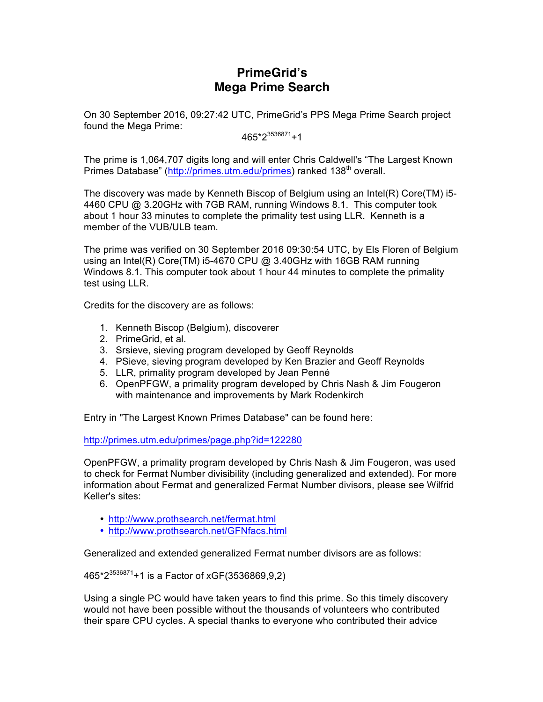# **PrimeGrid's Mega Prime Search**

On 30 September 2016, 09:27:42 UTC, PrimeGrid's PPS Mega Prime Search project found the Mega Prime:

 $465 \times 2^{3536871} + 1$ 

The prime is 1,064,707 digits long and will enter Chris Caldwell's "The Largest Known Primes Database" (http://primes.utm.edu/primes) ranked 138<sup>th</sup> overall.

The discovery was made by Kenneth Biscop of Belgium using an Intel(R) Core(TM) i5- 4460 CPU @ 3.20GHz with 7GB RAM, running Windows 8.1. This computer took about 1 hour 33 minutes to complete the primality test using LLR. Kenneth is a member of the VUB/ULB team.

The prime was verified on 30 September 2016 09:30:54 UTC, by Els Floren of Belgium using an Intel(R) Core(TM) i5-4670 CPU @ 3.40GHz with 16GB RAM running Windows 8.1. This computer took about 1 hour 44 minutes to complete the primality test using LLR.

Credits for the discovery are as follows:

- 1. Kenneth Biscop (Belgium), discoverer
- 2. PrimeGrid, et al.
- 3. Srsieve, sieving program developed by Geoff Reynolds
- 4. PSieve, sieving program developed by Ken Brazier and Geoff Reynolds
- 5. LLR, primality program developed by Jean Penné
- 6. OpenPFGW, a primality program developed by Chris Nash & Jim Fougeron with maintenance and improvements by Mark Rodenkirch

Entry in "The Largest Known Primes Database" can be found here:

http://primes.utm.edu/primes/page.php?id=122280

OpenPFGW, a primality program developed by Chris Nash & Jim Fougeron, was used to check for Fermat Number divisibility (including generalized and extended). For more information about Fermat and generalized Fermat Number divisors, please see Wilfrid Keller's sites:

- http://www.prothsearch.net/fermat.html
- http://www.prothsearch.net/GFNfacs.html

Generalized and extended generalized Fermat number divisors are as follows:

465\*23536871+1 is a Factor of xGF(3536869,9,2)

Using a single PC would have taken years to find this prime. So this timely discovery would not have been possible without the thousands of volunteers who contributed their spare CPU cycles. A special thanks to everyone who contributed their advice